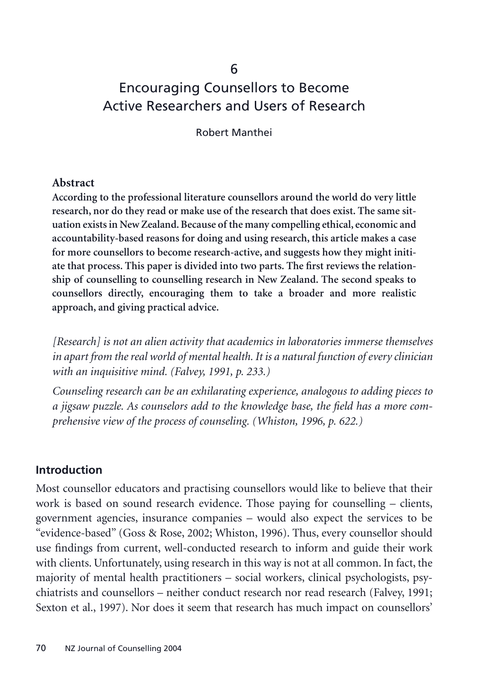# Encouraging Counsellors to Become Active Researchers and Users of Research

6

Robert Manthei

#### **Abstract**

**According to the professional literature counsellors around the world do very little research, nor do they read or make use of the research that does exist. The same situation exists in New Zealand. Because of the many compelling ethical, economic and accountability-based reasons for doing and using research, this article makes a case for more counsellors to become research-active, and suggests how they might initiate that process. This paper is divided into two parts. The first reviews the relationship of counselling to counselling research in New Zealand. The second speaks to counsellors directly, encouraging them to take a broader and more realistic approach, and giving practical advice.**

*[Research] is not an alien activity that academics in laboratories immerse themselves in apart from the real world of mental health. It is a natural function of every clinician with an inquisitive mind. (Falvey, 1991, p. 233.)*

*Counseling research can be an exhilarating experience, analogous to adding pieces to a jigsaw puzzle. As counselors add to the knowledge base, the field has a more comprehensive view of the process of counseling. (Whiston, 1996, p. 622.)*

#### **Introduction**

Most counsellor educators and practising counsellors would like to believe that their work is based on sound research evidence. Those paying for counselling – clients, government agencies, insurance companies – would also expect the services to be "evidence-based" (Goss & Rose, 2002; Whiston, 1996). Thus, every counsellor should use findings from current, well-conducted research to inform and guide their work with clients. Unfortunately, using research in this way is not at all common. In fact, the majority of mental health practitioners – social workers, clinical psychologists, psychiatrists and counsellors – neither conduct research nor read research (Falvey, 1991; Sexton et al., 1997). Nor does it seem that research has much impact on counsellors'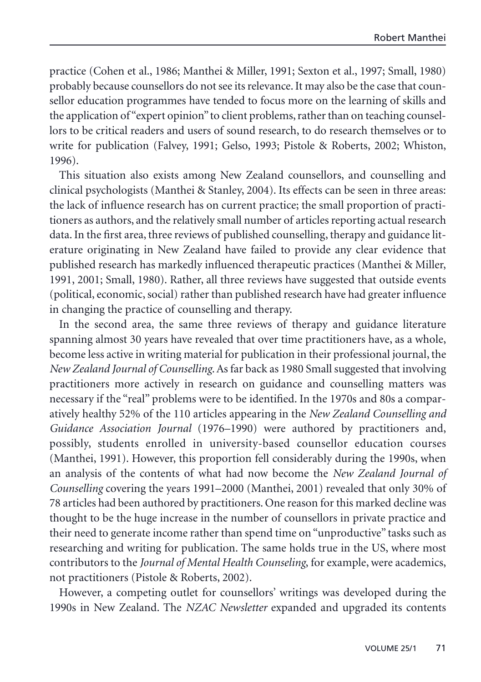practice (Cohen et al., 1986; Manthei & Miller, 1991; Sexton et al., 1997; Small, 1980) probably because counsellors do not see its relevance. It may also be the case that counsellor education programmes have tended to focus more on the learning of skills and the application of "expert opinion" to client problems, rather than on teaching counsellors to be critical readers and users of sound research, to do research themselves or to write for publication (Falvey, 1991; Gelso, 1993; Pistole & Roberts, 2002; Whiston, 1996).

This situation also exists among New Zealand counsellors, and counselling and clinical psychologists (Manthei & Stanley, 2004). Its effects can be seen in three areas: the lack of influence research has on current practice; the small proportion of practitioners as authors, and the relatively small number of articles reporting actual research data. In the first area, three reviews of published counselling, therapy and guidance literature originating in New Zealand have failed to provide any clear evidence that published research has markedly influenced therapeutic practices (Manthei & Miller, 1991, 2001; Small, 1980). Rather, all three reviews have suggested that outside events (political, economic, social) rather than published research have had greater influence in changing the practice of counselling and therapy.

In the second area, the same three reviews of therapy and guidance literature spanning almost 30 years have revealed that over time practitioners have, as a whole, become less active in writing material for publication in their professional journal, the *New Zealand Journal of Counselling*. As far back as 1980 Small suggested that involving practitioners more actively in research on guidance and counselling matters was necessary if the "real" problems were to be identified. In the 1970s and 80s a comparatively healthy 52% of the 110 articles appearing in the *New Zealand Counselling and Guidance Association Journal* (1976–1990) were authored by practitioners and, possibly, students enrolled in university-based counsellor education courses (Manthei, 1991). However, this proportion fell considerably during the 1990s, when an analysis of the contents of what had now become the *New Zealand Journal of Counselling* covering the years 1991–2000 (Manthei, 2001) revealed that only 30% of 78 articles had been authored by practitioners. One reason for this marked decline was thought to be the huge increase in the number of counsellors in private practice and their need to generate income rather than spend time on "unproductive" tasks such as researching and writing for publication. The same holds true in the US, where most contributors to the *Journal of Mental Health Counseling*, for example, were academics, not practitioners (Pistole & Roberts, 2002).

However, a competing outlet for counsellors' writings was developed during the 1990s in New Zealand. The *NZAC Newsletter* expanded and upgraded its contents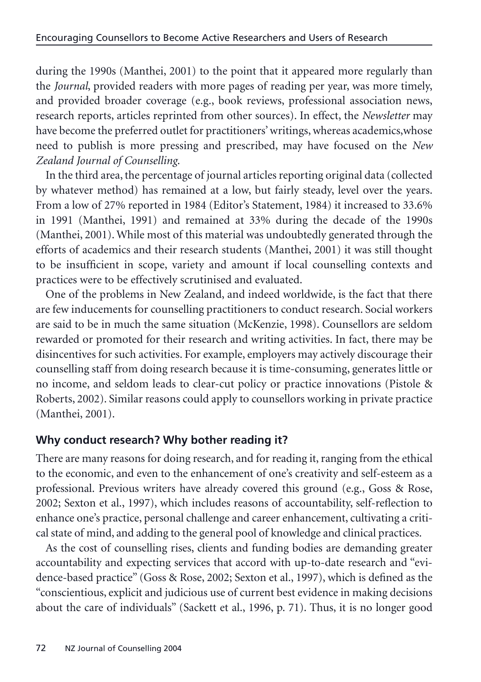during the 1990s (Manthei, 2001) to the point that it appeared more regularly than the *Journal*, provided readers with more pages of reading per year, was more timely, and provided broader coverage (e.g., book reviews, professional association news, research reports, articles reprinted from other sources). In effect, the *Newsletter* may have become the preferred outlet for practitioners' writings, whereas academics,whose need to publish is more pressing and prescribed, may have focused on the *New Zealand Journal of Counselling*.

In the third area, the percentage of journal articles reporting original data (collected by whatever method) has remained at a low, but fairly steady, level over the years. From a low of 27% reported in 1984 (Editor's Statement, 1984) it increased to 33.6% in 1991 (Manthei, 1991) and remained at 33% during the decade of the 1990s (Manthei, 2001). While most of this material was undoubtedly generated through the efforts of academics and their research students (Manthei, 2001) it was still thought to be insufficient in scope, variety and amount if local counselling contexts and practices were to be effectively scrutinised and evaluated.

One of the problems in New Zealand, and indeed worldwide, is the fact that there are few inducements for counselling practitioners to conduct research. Social workers are said to be in much the same situation (McKenzie, 1998). Counsellors are seldom rewarded or promoted for their research and writing activities. In fact, there may be disincentives for such activities. For example, employers may actively discourage their counselling staff from doing research because it is time-consuming, generates little or no income, and seldom leads to clear-cut policy or practice innovations (Pistole & Roberts, 2002). Similar reasons could apply to counsellors working in private practice (Manthei, 2001).

# **Why conduct research? Why bother reading it?**

There are many reasons for doing research, and for reading it, ranging from the ethical to the economic, and even to the enhancement of one's creativity and self-esteem as a professional. Previous writers have already covered this ground (e.g., Goss & Rose, 2002; Sexton et al., 1997), which includes reasons of accountability, self-reflection to enhance one's practice, personal challenge and career enhancement, cultivating a critical state of mind, and adding to the general pool of knowledge and clinical practices.

As the cost of counselling rises, clients and funding bodies are demanding greater accountability and expecting services that accord with up-to-date research and "evidence-based practice" (Goss & Rose, 2002; Sexton et al., 1997), which is defined as the "conscientious, explicit and judicious use of current best evidence in making decisions about the care of individuals" (Sackett et al., 1996, p. 71). Thus, it is no longer good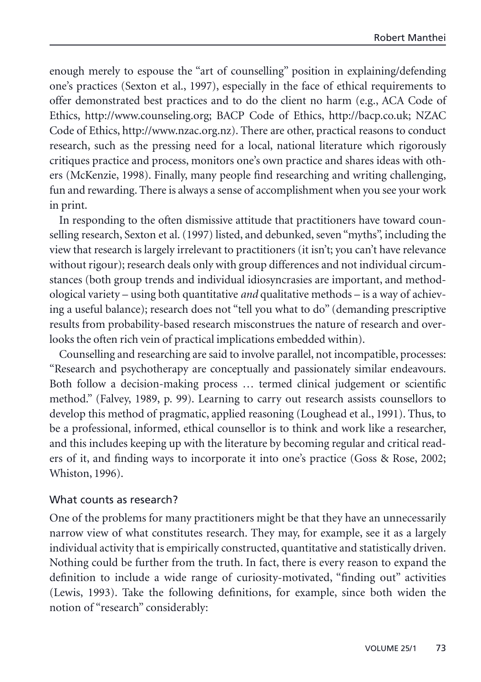enough merely to espouse the "art of counselling" position in explaining/defending one's practices (Sexton et al., 1997), especially in the face of ethical requirements to offer demonstrated best practices and to do the client no harm (e.g., ACA Code of Ethics, http://www.counseling.org; BACP Code of Ethics, http://bacp.co.uk; NZAC Code of Ethics, http://www.nzac.org.nz). There are other, practical reasons to conduct research, such as the pressing need for a local, national literature which rigorously critiques practice and process, monitors one's own practice and shares ideas with others (McKenzie, 1998). Finally, many people find researching and writing challenging, fun and rewarding. There is always a sense of accomplishment when you see your work in print.

In responding to the often dismissive attitude that practitioners have toward counselling research, Sexton et al. (1997) listed, and debunked, seven "myths", including the view that research is largely irrelevant to practitioners (it isn't; you can't have relevance without rigour); research deals only with group differences and not individual circumstances (both group trends and individual idiosyncrasies are important, and methodological variety – using both quantitative *and* qualitative methods – is a way of achieving a useful balance); research does not "tell you what to do" (demanding prescriptive results from probability-based research misconstrues the nature of research and overlooks the often rich vein of practical implications embedded within).

Counselling and researching are said to involve parallel, not incompatible, processes: "Research and psychotherapy are conceptually and passionately similar endeavours. Both follow a decision-making process … termed clinical judgement or scientific method." (Falvey, 1989, p. 99). Learning to carry out research assists counsellors to develop this method of pragmatic, applied reasoning (Loughead et al., 1991). Thus, to be a professional, informed, ethical counsellor is to think and work like a researcher, and this includes keeping up with the literature by becoming regular and critical readers of it, and finding ways to incorporate it into one's practice (Goss & Rose, 2002; Whiston, 1996).

#### What counts as research?

One of the problems for many practitioners might be that they have an unnecessarily narrow view of what constitutes research. They may, for example, see it as a largely individual activity that is empirically constructed, quantitative and statistically driven. Nothing could be further from the truth. In fact, there is every reason to expand the definition to include a wide range of curiosity-motivated, "finding out" activities (Lewis, 1993). Take the following definitions, for example, since both widen the notion of "research" considerably: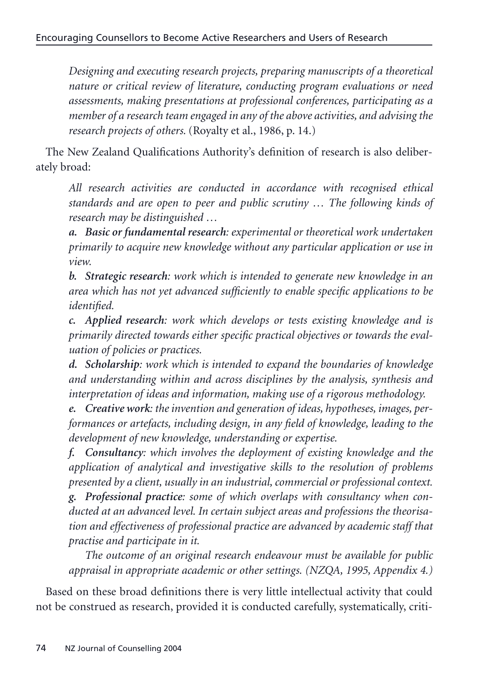*Designing and executing research projects, preparing manuscripts of a theoretical nature or critical review of literature, conducting program evaluations or need assessments, making presentations at professional conferences, participating as a member of a research team engaged in any of the above activities, and advising the research projects of others.* (Royalty et al., 1986, p. 14.)

The New Zealand Qualifications Authority's definition of research is also deliberately broad:

*All research activities are conducted in accordance with recognised ethical standards and are open to peer and public scrutiny … The following kinds of research may be distinguished …*

*a. Basic or fundamental research: experimental or theoretical work undertaken primarily to acquire new knowledge without any particular application or use in view.*

*b. Strategic research: work which is intended to generate new knowledge in an area which has not yet advanced sufficiently to enable specific applications to be identified.*

*c. Applied research: work which develops or tests existing knowledge and is primarily directed towards either specific practical objectives or towards the evaluation of policies or practices.*

*d. Scholarship: work which is intended to expand the boundaries of knowledge and understanding within and across disciplines by the analysis, synthesis and interpretation of ideas and information, making use of a rigorous methodology.*

*e. Creative work: the invention and generation of ideas, hypotheses, images, performances or artefacts, including design, in any field of knowledge, leading to the development of new knowledge, understanding or expertise.*

*f. Consultancy: which involves the deployment of existing knowledge and the application of analytical and investigative skills to the resolution of problems presented by a client, usually in an industrial, commercial or professional context.*

*g. Professional practice: some of which overlaps with consultancy when conducted at an advanced level. In certain subject areas and professions the theorisation and effectiveness of professional practice are advanced by academic staff that practise and participate in it.*

*The outcome of an original research endeavour must be available for public appraisal in appropriate academic or other settings. (NZQA, 1995, Appendix 4.)*

Based on these broad definitions there is very little intellectual activity that could not be construed as research, provided it is conducted carefully, systematically, criti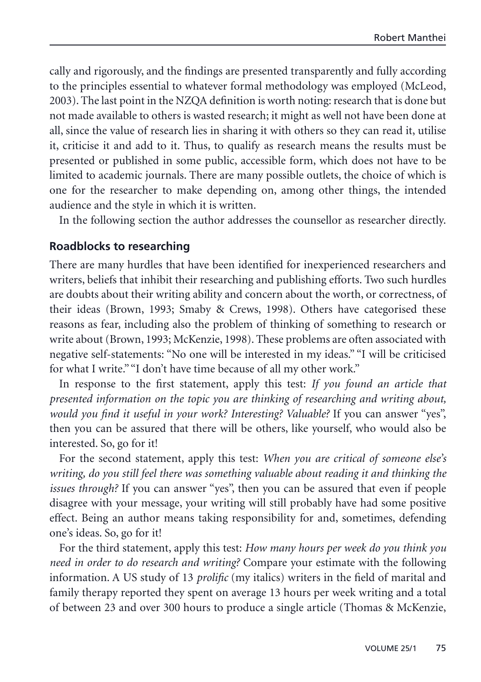cally and rigorously, and the findings are presented transparently and fully according to the principles essential to whatever formal methodology was employed (McLeod, 2003). The last point in the NZQA definition is worth noting: research that is done but not made available to others is wasted research; it might as well not have been done at all, since the value of research lies in sharing it with others so they can read it, utilise it, criticise it and add to it. Thus, to qualify as research means the results must be presented or published in some public, accessible form, which does not have to be limited to academic journals. There are many possible outlets, the choice of which is one for the researcher to make depending on, among other things, the intended audience and the style in which it is written.

In the following section the author addresses the counsellor as researcher directly.

#### **Roadblocks to researching**

There are many hurdles that have been identified for inexperienced researchers and writers, beliefs that inhibit their researching and publishing efforts. Two such hurdles are doubts about their writing ability and concern about the worth, or correctness, of their ideas (Brown, 1993; Smaby & Crews, 1998). Others have categorised these reasons as fear, including also the problem of thinking of something to research or write about (Brown, 1993; McKenzie, 1998). These problems are often associated with negative self-statements: "No one will be interested in my ideas." "I will be criticised for what I write." "I don't have time because of all my other work."

In response to the first statement, apply this test: *If you found an article that presented information on the topic you are thinking of researching and writing about, would you find it useful in your work? Interesting? Valuable?* If you can answer "yes", then you can be assured that there will be others, like yourself, who would also be interested. So, go for it!

For the second statement, apply this test: *When you are critical of someone else's writing, do you still feel there was something valuable about reading it and thinking the issues through?* If you can answer "yes", then you can be assured that even if people disagree with your message, your writing will still probably have had some positive effect. Being an author means taking responsibility for and, sometimes, defending one's ideas. So, go for it!

For the third statement, apply this test: *How many hours per week do you think you need in order to do research and writing?* Compare your estimate with the following information. A US study of 13 *prolific* (my italics) writers in the field of marital and family therapy reported they spent on average 13 hours per week writing and a total of between 23 and over 300 hours to produce a single article (Thomas & McKenzie,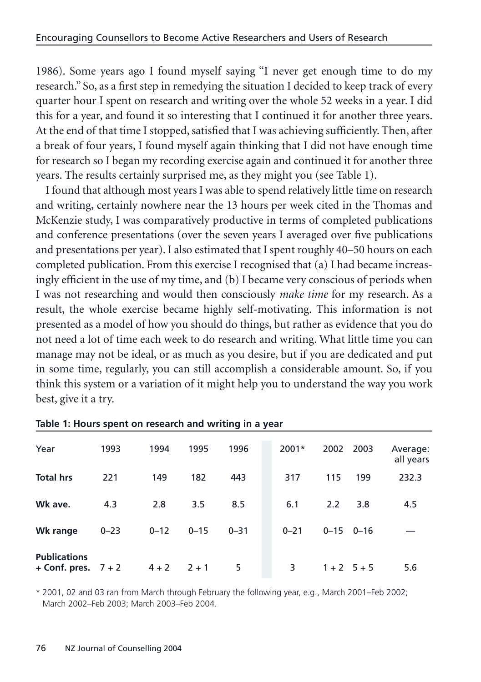1986). Some years ago I found myself saying "I never get enough time to do my research." So, as a first step in remedying the situation I decided to keep track of every quarter hour I spent on research and writing over the whole 52 weeks in a year. I did this for a year, and found it so interesting that I continued it for another three years. At the end of that time I stopped, satisfied that I was achieving sufficiently. Then, after a break of four years, I found myself again thinking that I did not have enough time for research so I began my recording exercise again and continued it for another three years. The results certainly surprised me, as they might you (see Table 1).

I found that although most years I was able to spend relatively little time on research and writing, certainly nowhere near the 13 hours per week cited in the Thomas and McKenzie study, I was comparatively productive in terms of completed publications and conference presentations (over the seven years I averaged over five publications and presentations per year). I also estimated that I spent roughly 40–50 hours on each completed publication. From this exercise I recognised that (a) I had became increasingly efficient in the use of my time, and (b) I became very conscious of periods when I was not researching and would then consciously *make time* for my research. As a result, the whole exercise became highly self-motivating. This information is not presented as a model of how you should do things, but rather as evidence that you do not need a lot of time each week to do research and writing. What little time you can manage may not be ideal, or as much as you desire, but if you are dedicated and put in some time, regularly, you can still accomplish a considerable amount. So, if you think this system or a variation of it might help you to understand the way you work best, give it a try.

| Year                                         | 1993     | 1994     | 1995     | 1996     | $2001*$  | 2002 2003         |           | Average:<br>all years |
|----------------------------------------------|----------|----------|----------|----------|----------|-------------------|-----------|-----------------------|
| <b>Total hrs</b>                             | 221      | 149      | 182      | 443      | 317      | 115               | 199       | 232.3                 |
| Wk ave.                                      | 4.3      | 2.8      | 3.5      | 8.5      | 6.1      | 2.2               | 3.8       | 4.5                   |
| Wk range                                     | $0 - 23$ | $0 - 12$ | $0 - 15$ | $0 - 31$ | $0 - 21$ | $0 - 15$ $0 - 16$ |           |                       |
| <b>Publications</b><br>+ Conf. pres. $7 + 2$ |          | $4 + 2$  | $2 + 1$  | 5        | 3        |                   | $1+2$ 5+5 | 5.6                   |

#### **Table 1: Hours spent on research and writing in a year**

\* 2001, 02 and 03 ran from March through February the following year, e.g., March 2001–Feb 2002; March 2002–Feb 2003; March 2003–Feb 2004.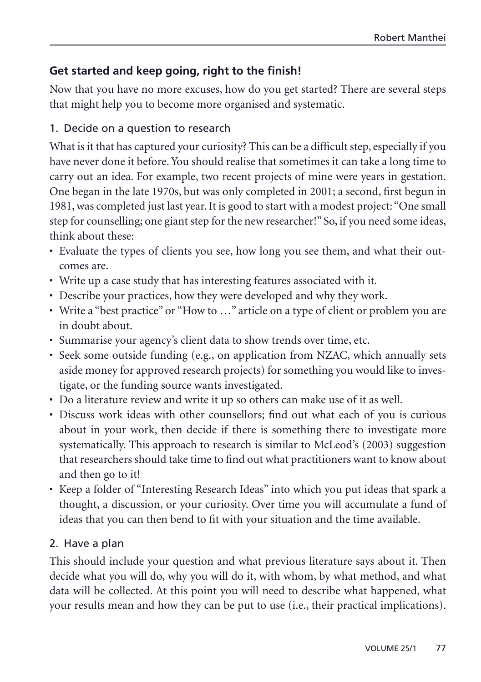# **Get started and keep going, right to the finish!**

Now that you have no more excuses, how do you get started? There are several steps that might help you to become more organised and systematic.

## 1. Decide on a question to research

What is it that has captured your curiosity? This can be a difficult step, especially if you have never done it before. You should realise that sometimes it can take a long time to carry out an idea. For example, two recent projects of mine were years in gestation. One began in the late 1970s, but was only completed in 2001; a second, first begun in 1981, was completed just last year. It is good to start with a modest project: "One small step for counselling; one giant step for the new researcher!" So, if you need some ideas, think about these:

- Evaluate the types of clients you see, how long you see them, and what their outcomes are.
- Write up a case study that has interesting features associated with it.
- Describe your practices, how they were developed and why they work.
- Write a "best practice" or "How to …" article on a type of client or problem you are in doubt about.
- Summarise your agency's client data to show trends over time, etc.
- Seek some outside funding (e.g., on application from NZAC, which annually sets aside money for approved research projects) for something you would like to investigate, or the funding source wants investigated.
- Do a literature review and write it up so others can make use of it as well.
- Discuss work ideas with other counsellors; find out what each of you is curious about in your work, then decide if there is something there to investigate more systematically. This approach to research is similar to McLeod's (2003) suggestion that researchers should take time to find out what practitioners want to know about and then go to it!
- Keep a folder of "Interesting Research Ideas" into which you put ideas that spark a thought, a discussion, or your curiosity. Over time you will accumulate a fund of ideas that you can then bend to fit with your situation and the time available.

## 2. Have a plan

This should include your question and what previous literature says about it. Then decide what you will do, why you will do it, with whom, by what method, and what data will be collected. At this point you will need to describe what happened, what your results mean and how they can be put to use (i.e., their practical implications).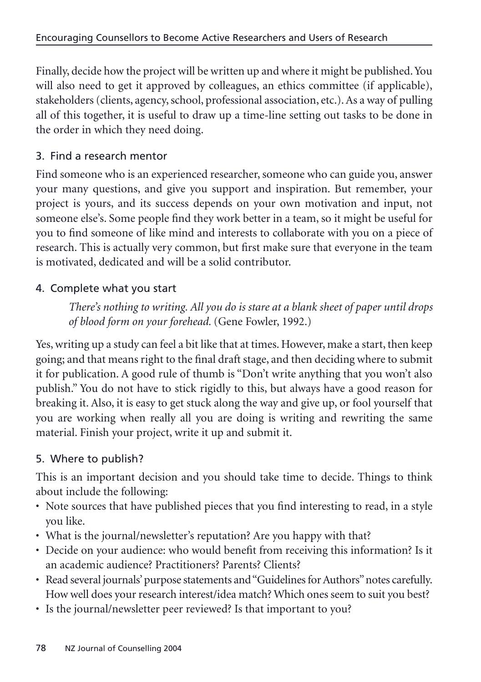Finally, decide how the project will be written up and where it might be published. You will also need to get it approved by colleagues, an ethics committee (if applicable), stakeholders (clients, agency, school, professional association, etc.). As a way of pulling all of this together, it is useful to draw up a time-line setting out tasks to be done in the order in which they need doing.

# 3. Find a research mentor

Find someone who is an experienced researcher, someone who can guide you, answer your many questions, and give you support and inspiration. But remember, your project is yours, and its success depends on your own motivation and input, not someone else's. Some people find they work better in a team, so it might be useful for you to find someone of like mind and interests to collaborate with you on a piece of research. This is actually very common, but first make sure that everyone in the team is motivated, dedicated and will be a solid contributor.

# 4. Complete what you start

*There's nothing to writing. All you do is stare at a blank sheet of paper until drops of blood form on your forehead.* (Gene Fowler, 1992.)

Yes, writing up a study can feel a bit like that at times. However, make a start, then keep going; and that means right to the final draft stage, and then deciding where to submit it for publication. A good rule of thumb is "Don't write anything that you won't also publish." You do not have to stick rigidly to this, but always have a good reason for breaking it. Also, it is easy to get stuck along the way and give up, or fool yourself that you are working when really all you are doing is writing and rewriting the same material. Finish your project, write it up and submit it.

## 5. Where to publish?

This is an important decision and you should take time to decide. Things to think about include the following:

- Note sources that have published pieces that you find interesting to read, in a style you like.
- What is the journal/newsletter's reputation? Are you happy with that?
- Decide on your audience: who would benefit from receiving this information? Is it an academic audience? Practitioners? Parents? Clients?
- Read several journals' purpose statements and "Guidelines for Authors"notes carefully. How well does your research interest/idea match? Which ones seem to suit you best?
- Is the journal/newsletter peer reviewed? Is that important to you?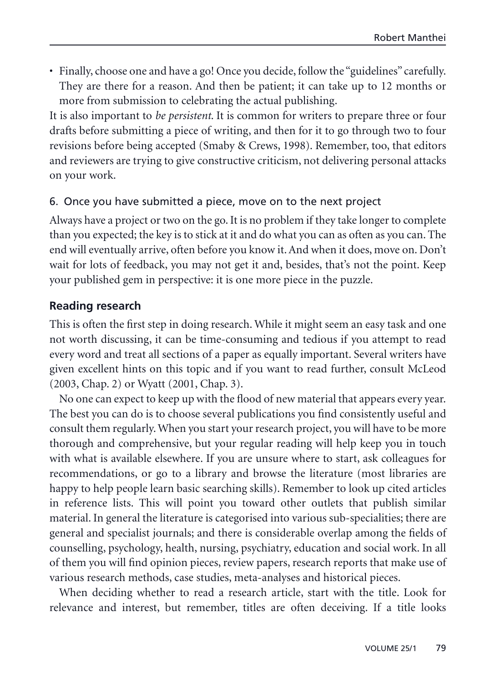• Finally, choose one and have a go! Once you decide, follow the "guidelines" carefully. They are there for a reason. And then be patient; it can take up to 12 months or more from submission to celebrating the actual publishing.

It is also important to *be persistent*. It is common for writers to prepare three or four drafts before submitting a piece of writing, and then for it to go through two to four revisions before being accepted (Smaby & Crews, 1998). Remember, too, that editors and reviewers are trying to give constructive criticism, not delivering personal attacks on your work.

#### 6. Once you have submitted a piece, move on to the next project

Always have a project or two on the go. It is no problem if they take longer to complete than you expected; the key is to stick at it and do what you can as often as you can. The end will eventually arrive, often before you know it. And when it does, move on. Don't wait for lots of feedback, you may not get it and, besides, that's not the point. Keep your published gem in perspective: it is one more piece in the puzzle.

#### **Reading research**

This is often the first step in doing research. While it might seem an easy task and one not worth discussing, it can be time-consuming and tedious if you attempt to read every word and treat all sections of a paper as equally important. Several writers have given excellent hints on this topic and if you want to read further, consult McLeod (2003, Chap. 2) or Wyatt (2001, Chap. 3).

No one can expect to keep up with the flood of new material that appears every year. The best you can do is to choose several publications you find consistently useful and consult them regularly. When you start your research project, you will have to be more thorough and comprehensive, but your regular reading will help keep you in touch with what is available elsewhere. If you are unsure where to start, ask colleagues for recommendations, or go to a library and browse the literature (most libraries are happy to help people learn basic searching skills). Remember to look up cited articles in reference lists. This will point you toward other outlets that publish similar material. In general the literature is categorised into various sub-specialities; there are general and specialist journals; and there is considerable overlap among the fields of counselling, psychology, health, nursing, psychiatry, education and social work. In all of them you will find opinion pieces, review papers, research reports that make use of various research methods, case studies, meta-analyses and historical pieces.

When deciding whether to read a research article, start with the title. Look for relevance and interest, but remember, titles are often deceiving. If a title looks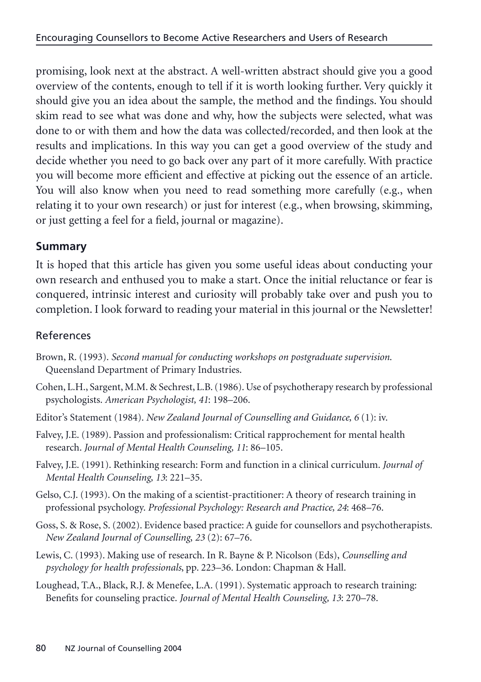promising, look next at the abstract. A well-written abstract should give you a good overview of the contents, enough to tell if it is worth looking further. Very quickly it should give you an idea about the sample, the method and the findings. You should skim read to see what was done and why, how the subjects were selected, what was done to or with them and how the data was collected/recorded, and then look at the results and implications. In this way you can get a good overview of the study and decide whether you need to go back over any part of it more carefully. With practice you will become more efficient and effective at picking out the essence of an article. You will also know when you need to read something more carefully (e.g., when relating it to your own research) or just for interest (e.g., when browsing, skimming, or just getting a feel for a field, journal or magazine).

## **Summary**

It is hoped that this article has given you some useful ideas about conducting your own research and enthused you to make a start. Once the initial reluctance or fear is conquered, intrinsic interest and curiosity will probably take over and push you to completion. I look forward to reading your material in this journal or the Newsletter!

# References

- Brown, R. (1993). *Second manual for conducting workshops on postgraduate supervision*. Queensland Department of Primary Industries.
- Cohen, L.H., Sargent, M.M. & Sechrest, L.B. (1986). Use of psychotherapy research by professional psychologists. *American Psychologist, 41*: 198–206.
- Editor's Statement (1984). *New Zealand Journal of Counselling and Guidance, 6* (1): iv.
- Falvey, J.E. (1989). Passion and professionalism: Critical rapprochement for mental health research. *Journal of Mental Health Counseling, 11*: 86–105.
- Falvey, J.E. (1991). Rethinking research: Form and function in a clinical curriculum. *Journal of Mental Health Counseling, 13*: 221–35.
- Gelso, C.J. (1993). On the making of a scientist-practitioner: A theory of research training in professional psychology. *Professional Psychology: Research and Practice, 24*: 468–76.
- Goss, S. & Rose, S. (2002). Evidence based practice: A guide for counsellors and psychotherapists. *New Zealand Journal of Counselling*, *23* (2): 67–76.
- Lewis, C. (1993). Making use of research. In R. Bayne & P. Nicolson (Eds), *Counselling and psychology for health professionals*, pp. 223–36. London: Chapman & Hall.
- Loughead, T.A., Black, R.J. & Menefee, L.A. (1991). Systematic approach to research training: Benefits for counseling practice. *Journal of Mental Health Counseling, 13*: 270–78.